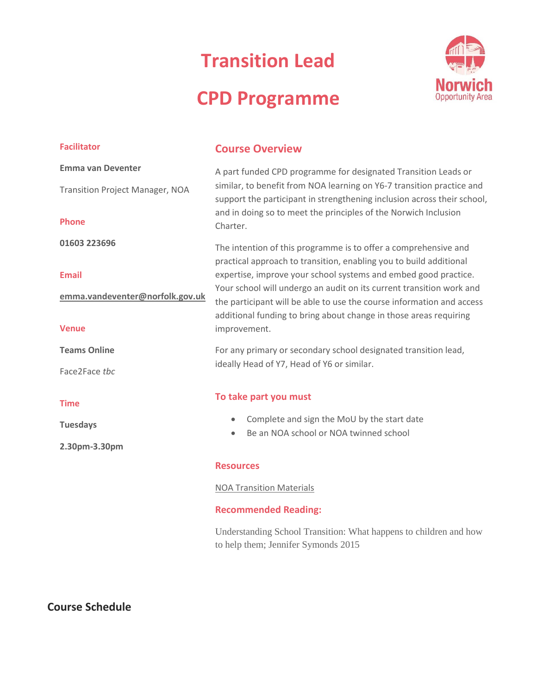# **Transition Lead**

# **CPD Programme**



| <b>Facilitator</b>                     | <b>Course Overview</b>                                                                                                                                                                                                                                                                                                                                                                                                                         |  |  |
|----------------------------------------|------------------------------------------------------------------------------------------------------------------------------------------------------------------------------------------------------------------------------------------------------------------------------------------------------------------------------------------------------------------------------------------------------------------------------------------------|--|--|
| <b>Emma van Deventer</b>               | A part funded CPD programme for designated Transition Leads or                                                                                                                                                                                                                                                                                                                                                                                 |  |  |
| <b>Transition Project Manager, NOA</b> | similar, to benefit from NOA learning on Y6-7 transition practice and<br>support the participant in strengthening inclusion across their school,                                                                                                                                                                                                                                                                                               |  |  |
| <b>Phone</b>                           | and in doing so to meet the principles of the Norwich Inclusion<br>Charter.                                                                                                                                                                                                                                                                                                                                                                    |  |  |
| 01603 223696                           | The intention of this programme is to offer a comprehensive and<br>practical approach to transition, enabling you to build additional<br>expertise, improve your school systems and embed good practice.<br>Your school will undergo an audit on its current transition work and<br>the participant will be able to use the course information and access<br>additional funding to bring about change in those areas requiring<br>improvement. |  |  |
| <b>Email</b>                           |                                                                                                                                                                                                                                                                                                                                                                                                                                                |  |  |
| emma.vandeventer@norfolk.gov.uk        |                                                                                                                                                                                                                                                                                                                                                                                                                                                |  |  |
| <b>Venue</b>                           |                                                                                                                                                                                                                                                                                                                                                                                                                                                |  |  |
| <b>Teams Online</b>                    | For any primary or secondary school designated transition lead,<br>ideally Head of Y7, Head of Y6 or similar.                                                                                                                                                                                                                                                                                                                                  |  |  |
| Face2Face tbc                          |                                                                                                                                                                                                                                                                                                                                                                                                                                                |  |  |
| <b>Time</b>                            | To take part you must                                                                                                                                                                                                                                                                                                                                                                                                                          |  |  |
| <b>Tuesdays</b>                        | Complete and sign the MoU by the start date<br>$\bullet$                                                                                                                                                                                                                                                                                                                                                                                       |  |  |
| 2.30pm-3.30pm                          | Be an NOA school or NOA twinned school<br>$\bullet$                                                                                                                                                                                                                                                                                                                                                                                            |  |  |
|                                        | <b>Resources</b>                                                                                                                                                                                                                                                                                                                                                                                                                               |  |  |
|                                        | <b>NOA Transition Materials</b>                                                                                                                                                                                                                                                                                                                                                                                                                |  |  |

## **Recommended Reading:**

Understanding School Transition: What happens to children and how to help them; Jennifer Symonds 2015

**Course Schedule**